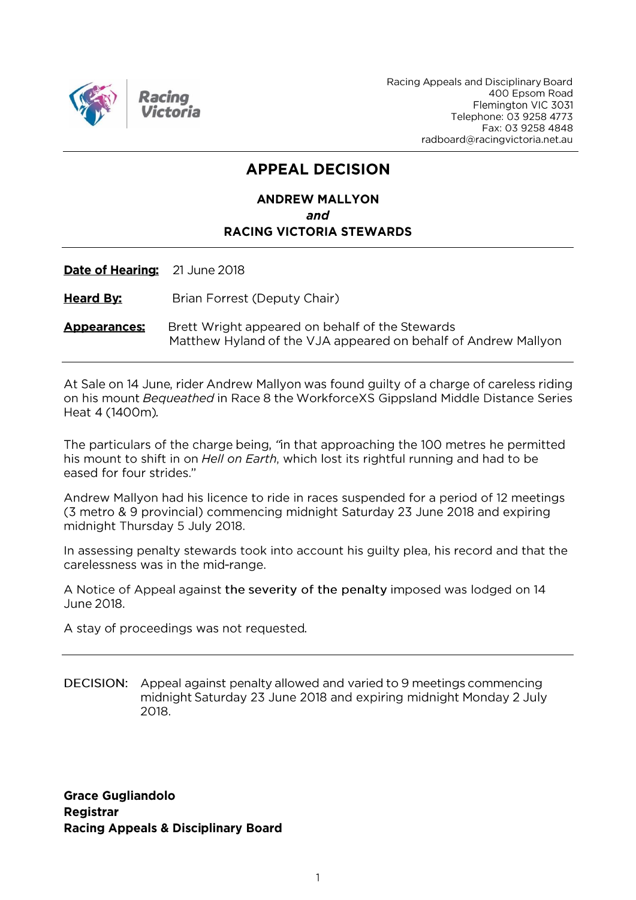

Racing Appeals and Disciplinary Board 400 Epsom Road Flemington VIC 3031 Telephone: 03 9258 4773 Fax: 03 9258 4848 radboard@racingvictoria.net.au

# **APPEAL DECISION**

# **ANDREW MALLYON** and **RACING VICTORIA STEWARDS**

Date of Hearing: 21 June 2018

**Heard By:** Brian Forrest (Deputy Chair)

Brett Wright appeared on behalf of the Stewards **Appearances** Matthew Hyland of the VJA appeared on behalf of Andrew Mallyon

At Sale on 14 June, rider Andrew Mallyon was found guilty of a charge of careless riding on his mount Bequeathed in Race 8 the WorkforceXS Gippsland Middle Distance Series Heat 4 (1400m).

The particulars of the charge being, "in that approaching the 100 metres he permitted his mount to shift in on *Hell on Earth*, which lost its rightful running and had to be eased for four strides."

Andrew Mallyon had his licence to ride in races suspended for a period of 12 meetings (3 metro & 9 provincial) commencing midnight Saturday 23 June 2018 and expiring midnight Thursday 5 July 2018.

In assessing penalty stewards took into account his guilty plea, his record and that the carelessness was in the mid-range.

A Notice of Appeal against the severity of the penalty imposed was lodged on 14 June 2018.

A stay of proceedings was not requested.

DECISION: Appeal against penalty allowed and varied to 9 meetings commencing midnight Saturday 23 June 2018 and expiring midnight Monday 2 July 2018.

**Grace Gugliandolo Registrar Racing Appeals & Disciplinary Board**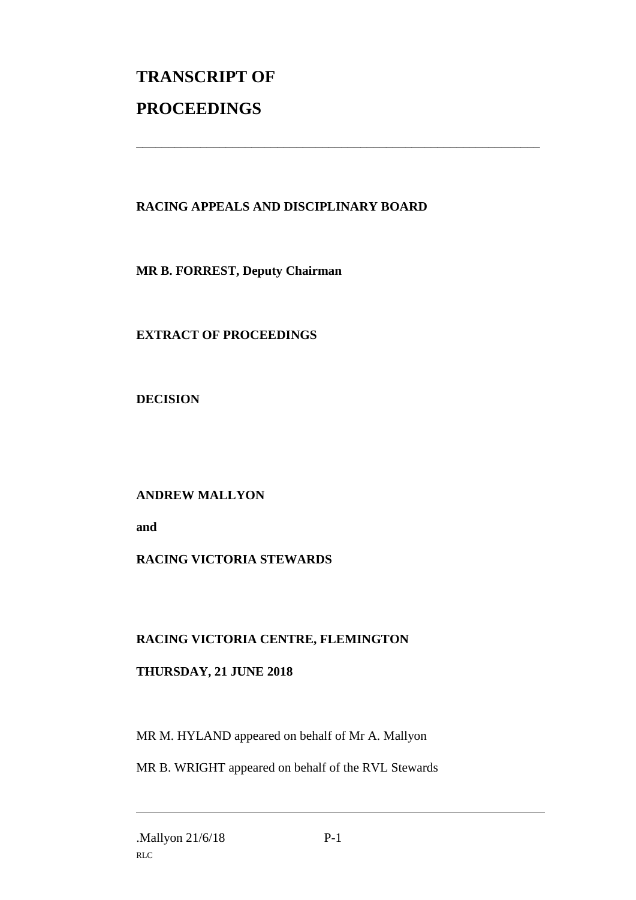# **TRANSCRIPT OF PROCEEDINGS**

# **RACING APPEALS AND DISCIPLINARY BOARD**

\_\_\_\_\_\_\_\_\_\_\_\_\_\_\_\_\_\_\_\_\_\_\_\_\_\_\_\_\_\_\_\_\_\_\_\_\_\_\_\_\_\_\_\_\_\_\_\_\_\_\_\_\_\_\_\_\_\_\_\_\_\_\_

**MR B. FORREST, Deputy Chairman**

**EXTRACT OF PROCEEDINGS**

**DECISION**

**ANDREW MALLYON**

**and** 

# **RACING VICTORIA STEWARDS**

# **RACING VICTORIA CENTRE, FLEMINGTON**

# **THURSDAY, 21 JUNE 2018**

MR M. HYLAND appeared on behalf of Mr A. Mallyon

MR B. WRIGHT appeared on behalf of the RVL Stewards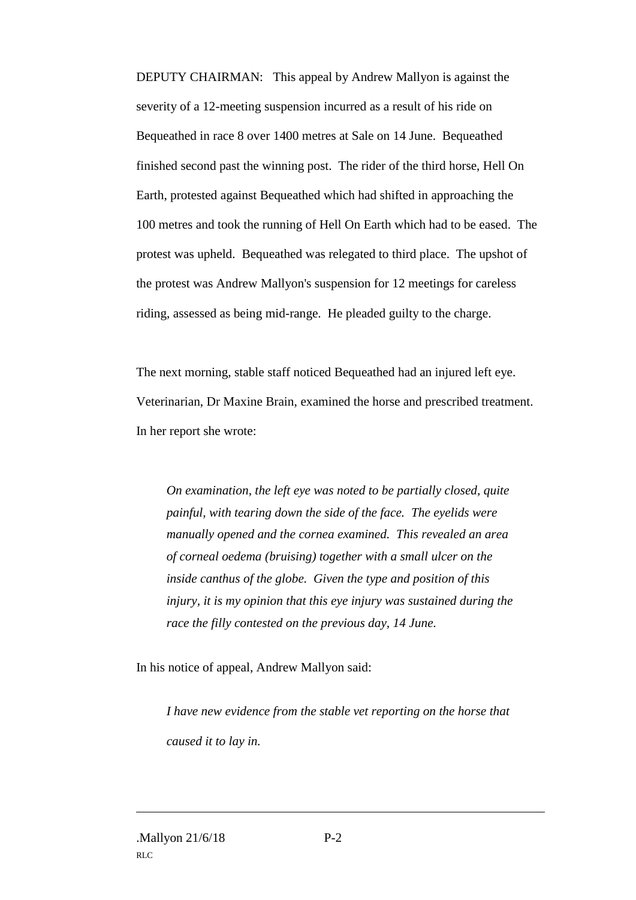DEPUTY CHAIRMAN: This appeal by Andrew Mallyon is against the severity of a 12-meeting suspension incurred as a result of his ride on Bequeathed in race 8 over 1400 metres at Sale on 14 June. Bequeathed finished second past the winning post. The rider of the third horse, Hell On Earth, protested against Bequeathed which had shifted in approaching the 100 metres and took the running of Hell On Earth which had to be eased. The protest was upheld. Bequeathed was relegated to third place. The upshot of the protest was Andrew Mallyon's suspension for 12 meetings for careless riding, assessed as being mid-range. He pleaded guilty to the charge.

The next morning, stable staff noticed Bequeathed had an injured left eye. Veterinarian, Dr Maxine Brain, examined the horse and prescribed treatment. In her report she wrote:

*On examination, the left eye was noted to be partially closed, quite painful, with tearing down the side of the face. The eyelids were manually opened and the cornea examined. This revealed an area of corneal oedema (bruising) together with a small ulcer on the inside canthus of the globe. Given the type and position of this injury, it is my opinion that this eye injury was sustained during the race the filly contested on the previous day, 14 June.*

In his notice of appeal, Andrew Mallyon said:

*I have new evidence from the stable vet reporting on the horse that caused it to lay in.*